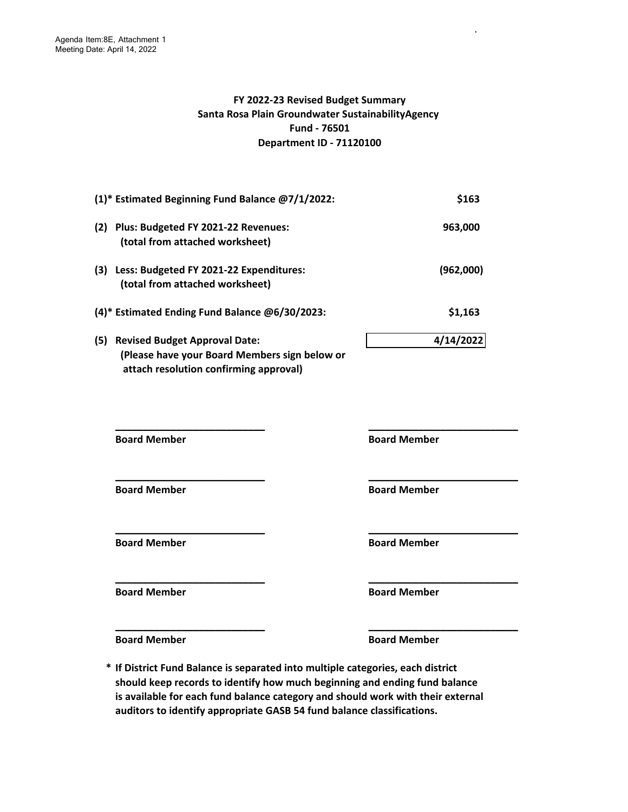## **FY 2022-23 Revised Budget Summary Santa Rosa Plain Groundwater SustainabilityAgency Fund - 76501 Department ID - 71120100**

.

| (1)* Estimated Beginning Fund Balance @7/1/2022:                                             | \$163     |
|----------------------------------------------------------------------------------------------|-----------|
| (2)<br>Plus: Budgeted FY 2021-22 Revenues:<br>(total from attached worksheet)                | 963,000   |
| (3)<br>Less: Budgeted FY 2021-22 Expenditures:<br>(total from attached worksheet)            | (962,000) |
| (4)* Estimated Ending Fund Balance @6/30/2023:                                               | \$1,163   |
| (5)<br><b>Revised Budget Approval Date:</b><br>(Please have your Board Members sign below or | 4/14/2022 |

 **attach resolution confirming approval)** 

**\_\_\_\_\_\_\_\_\_\_\_\_\_\_\_\_\_\_\_\_\_\_\_\_\_\_\_ \_\_\_\_\_\_\_\_\_\_\_\_\_\_\_\_\_\_\_\_\_\_\_\_\_\_\_ \_\_\_\_\_\_\_\_\_\_\_\_\_\_\_\_\_\_\_\_\_\_\_\_\_\_\_ \_\_\_\_\_\_\_\_\_\_\_\_\_\_\_\_\_\_\_\_\_\_\_\_\_\_\_ \_\_\_\_\_\_\_\_\_\_\_\_\_\_\_\_\_\_\_\_\_\_\_\_\_\_\_ \_\_\_\_\_\_\_\_\_\_\_\_\_\_\_\_\_\_\_\_\_\_\_\_\_\_\_ \_\_\_\_\_\_\_\_\_\_\_\_\_\_\_\_\_\_\_\_\_\_\_\_\_\_\_ \_\_\_\_\_\_\_\_\_\_\_\_\_\_\_\_\_\_\_\_\_\_\_\_\_\_\_ Board Member 6 and Member 3 and Member 3 and Member 3 and Member 3 and Member 3 and Member 3 and Member 3 and Member 3 and Member 3 and Member 3 and Member 3 and Member 3 and Member 3 and Member 3 and Member 3 and Member Board Member 6 Board Member 6 Board Member Board Member 6 and Member 3 and Member 3 and Member 3 and Member 3 and Member 3 and Member 3 and Member 3 and Member 3 and Member 3 and Member 3 and Member 3 and Member 3 and Member 3 and Member 3 and Member 3 and Member Board Member Board Member** 

**Board Member 6 Board Member 6 Board Member** 

**\* If District Fund Balance is separated into multiple categories, each district should keep records to identify how much beginning and ending fund balance is available for each fund balance category and should work with their external auditors to identify appropriate GASB 54 fund balance classifications.**

**\_\_\_\_\_\_\_\_\_\_\_\_\_\_\_\_\_\_\_\_\_\_\_\_\_\_\_ \_\_\_\_\_\_\_\_\_\_\_\_\_\_\_\_\_\_\_\_\_\_\_\_\_\_\_**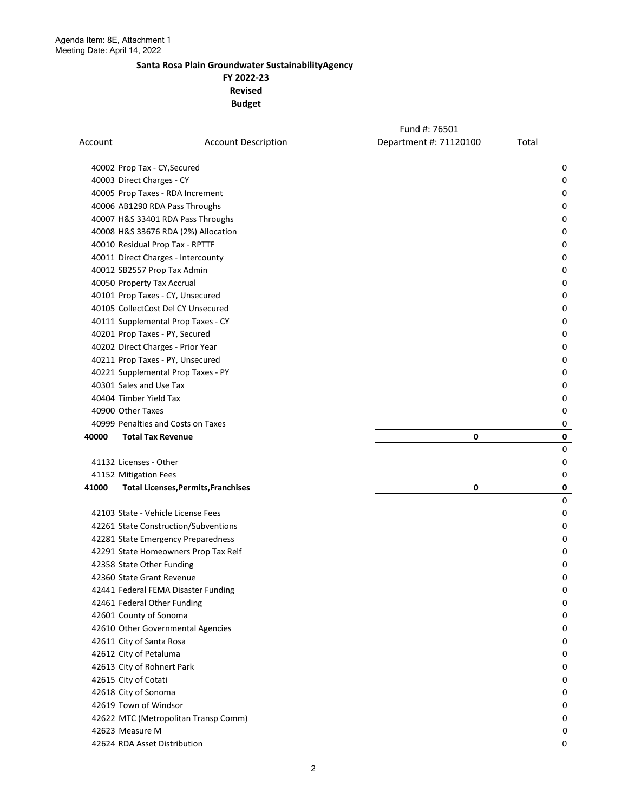**FY 2022-23 Revised** 

|         |                                            | Fund #: 76501          |                |
|---------|--------------------------------------------|------------------------|----------------|
| Account | <b>Account Description</b>                 | Department #: 71120100 | Total          |
|         |                                            |                        |                |
|         | 40002 Prop Tax - CY, Secured               |                        | 0              |
|         | 40003 Direct Charges - CY                  |                        | 0              |
|         | 40005 Prop Taxes - RDA Increment           |                        | 0              |
|         | 40006 AB1290 RDA Pass Throughs             |                        | 0              |
|         | 40007 H&S 33401 RDA Pass Throughs          |                        | 0              |
|         | 40008 H&S 33676 RDA (2%) Allocation        |                        | 0              |
|         | 40010 Residual Prop Tax - RPTTF            |                        | 0              |
|         | 40011 Direct Charges - Intercounty         |                        | 0              |
|         | 40012 SB2557 Prop Tax Admin                |                        | 0              |
|         | 40050 Property Tax Accrual                 |                        | 0              |
|         | 40101 Prop Taxes - CY, Unsecured           |                        | 0              |
|         | 40105 CollectCost Del CY Unsecured         |                        | 0              |
|         | 40111 Supplemental Prop Taxes - CY         |                        | 0              |
|         | 40201 Prop Taxes - PY, Secured             |                        | 0              |
|         | 40202 Direct Charges - Prior Year          |                        | 0              |
|         | 40211 Prop Taxes - PY, Unsecured           |                        | 0              |
|         | 40221 Supplemental Prop Taxes - PY         |                        | 0              |
|         | 40301 Sales and Use Tax                    |                        | 0              |
|         | 40404 Timber Yield Tax                     |                        | 0              |
|         | 40900 Other Taxes                          |                        | 0              |
|         | 40999 Penalties and Costs on Taxes         |                        | 0              |
| 40000   | <b>Total Tax Revenue</b>                   | 0                      | $\mathbf 0$    |
|         | 41132 Licenses - Other                     |                        | $\pmb{0}$<br>0 |
|         | 41152 Mitigation Fees                      |                        | 0              |
| 41000   | <b>Total Licenses, Permits, Franchises</b> | 0                      | 0              |
|         |                                            |                        | $\mathbf 0$    |
|         | 42103 State - Vehicle License Fees         |                        | 0              |
|         | 42261 State Construction/Subventions       |                        | 0              |
|         | 42281 State Emergency Preparedness         |                        | 0              |
|         | 42291 State Homeowners Prop Tax Relf       |                        | 0              |
|         | 42358 State Other Funding                  |                        | 0              |
|         | 42360 State Grant Revenue                  |                        | O              |
|         | 42441 Federal FEMA Disaster Funding        |                        | 0              |
|         | 42461 Federal Other Funding                |                        | 0              |
|         | 42601 County of Sonoma                     |                        | 0              |
|         | 42610 Other Governmental Agencies          |                        | 0              |
|         | 42611 City of Santa Rosa                   |                        | 0              |
|         | 42612 City of Petaluma                     |                        | 0              |
|         | 42613 City of Rohnert Park                 |                        | 0              |
|         | 42615 City of Cotati                       |                        | 0              |
|         | 42618 City of Sonoma                       |                        | 0              |
|         | 42619 Town of Windsor                      |                        | 0              |
|         | 42622 MTC (Metropolitan Transp Comm)       |                        | 0              |
|         | 42623 Measure M                            |                        | 0              |
|         | 42624 RDA Asset Distribution               |                        | 0              |
|         |                                            |                        |                |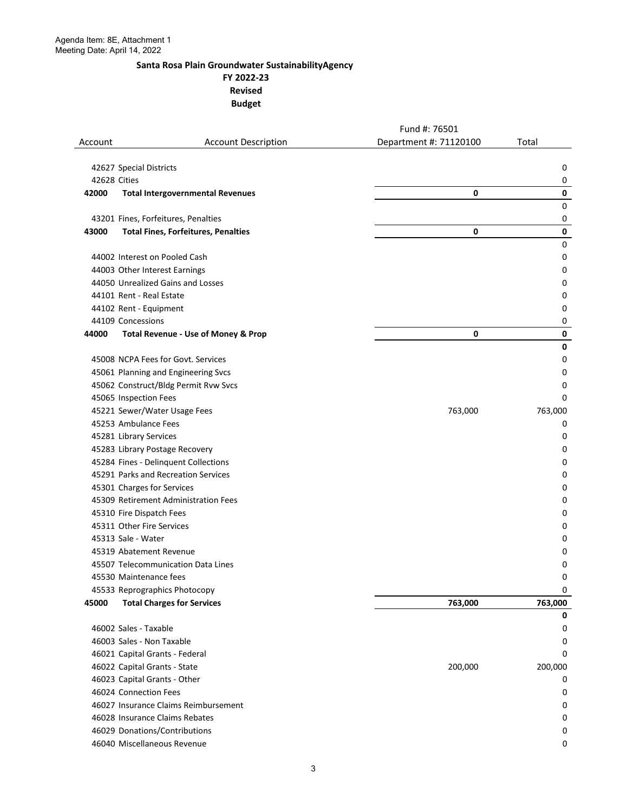**FY 2022-23 Revised** 

|              |                                                                             | Fund #: 76501          |         |
|--------------|-----------------------------------------------------------------------------|------------------------|---------|
| Account      | <b>Account Description</b>                                                  | Department #: 71120100 | Total   |
|              |                                                                             |                        |         |
|              | 42627 Special Districts                                                     |                        | 0       |
| 42628 Cities |                                                                             |                        | 0       |
| 42000        | <b>Total Intergovernmental Revenues</b>                                     | 0                      | 0       |
|              |                                                                             |                        | 0       |
|              | 43201 Fines, Forfeitures, Penalties                                         |                        | 0       |
| 43000        | <b>Total Fines, Forfeitures, Penalties</b>                                  | 0                      | 0       |
|              |                                                                             |                        | 0       |
|              | 44002 Interest on Pooled Cash                                               |                        | 0       |
|              | 44003 Other Interest Earnings                                               |                        | 0       |
|              | 44050 Unrealized Gains and Losses                                           |                        | 0       |
|              | 44101 Rent - Real Estate                                                    |                        | 0       |
|              | 44102 Rent - Equipment                                                      |                        | 0       |
|              | 44109 Concessions                                                           |                        | 0       |
| 44000        | <b>Total Revenue - Use of Money &amp; Prop</b>                              | 0                      | 0       |
|              | 45008 NCPA Fees for Govt. Services                                          |                        | 0       |
|              |                                                                             |                        | 0       |
|              | 45061 Planning and Engineering Svcs<br>45062 Construct/Bldg Permit Rvw Svcs |                        | 0<br>0  |
|              |                                                                             |                        | 0       |
|              | 45065 Inspection Fees<br>45221 Sewer/Water Usage Fees                       | 763,000                | 763,000 |
|              | 45253 Ambulance Fees                                                        |                        | 0       |
|              | 45281 Library Services                                                      |                        | 0       |
|              | 45283 Library Postage Recovery                                              |                        | 0       |
|              | 45284 Fines - Delinquent Collections                                        |                        | 0       |
|              | 45291 Parks and Recreation Services                                         |                        | 0       |
|              | 45301 Charges for Services                                                  |                        | 0       |
|              | 45309 Retirement Administration Fees                                        |                        | 0       |
|              | 45310 Fire Dispatch Fees                                                    |                        | 0       |
|              | 45311 Other Fire Services                                                   |                        | 0       |
|              | 45313 Sale - Water                                                          |                        | 0       |
|              | 45319 Abatement Revenue                                                     |                        | 0       |
|              | 45507 Telecommunication Data Lines                                          |                        | 0       |
|              | 45530 Maintenance fees                                                      |                        | 0       |
|              | 45533 Reprographics Photocopy                                               |                        | 0       |
| 45000        | <b>Total Charges for Services</b>                                           | 763,000                | 763,000 |
|              |                                                                             |                        | 0       |
|              | 46002 Sales - Taxable                                                       |                        | 0       |
|              | 46003 Sales - Non Taxable                                                   |                        | 0       |
|              | 46021 Capital Grants - Federal                                              |                        | 0       |
|              | 46022 Capital Grants - State                                                | 200,000                | 200,000 |
|              | 46023 Capital Grants - Other                                                |                        | 0       |
|              | 46024 Connection Fees                                                       |                        | 0       |
|              | 46027 Insurance Claims Reimbursement                                        |                        | 0       |
|              | 46028 Insurance Claims Rebates                                              |                        | 0       |
|              | 46029 Donations/Contributions                                               |                        | 0       |
|              | 46040 Miscellaneous Revenue                                                 |                        | 0       |
|              |                                                                             |                        |         |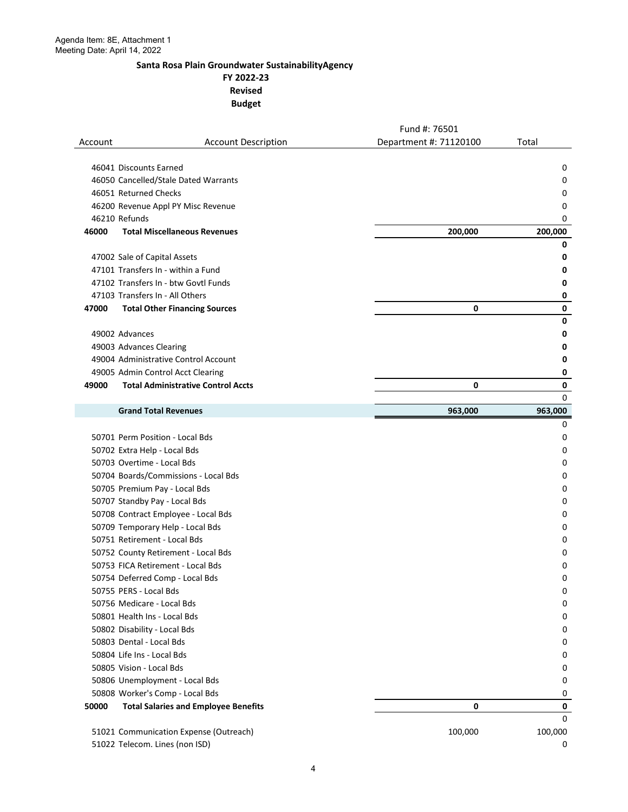**FY 2022-23 Revised** 

|         |                                             | Fund #: 76501          |              |
|---------|---------------------------------------------|------------------------|--------------|
| Account | <b>Account Description</b>                  | Department #: 71120100 | Total        |
|         |                                             |                        |              |
|         | 46041 Discounts Earned                      |                        | 0            |
|         | 46050 Cancelled/Stale Dated Warrants        |                        | 0            |
|         | 46051 Returned Checks                       |                        | 0            |
|         | 46200 Revenue Appl PY Misc Revenue          |                        | 0            |
|         | 46210 Refunds                               |                        | 0            |
| 46000   | <b>Total Miscellaneous Revenues</b>         | 200,000                | 200,000<br>0 |
|         | 47002 Sale of Capital Assets                |                        | 0            |
|         | 47101 Transfers In - within a Fund          |                        | 0            |
|         | 47102 Transfers In - btw Govtl Funds        |                        | 0            |
|         | 47103 Transfers In - All Others             |                        | 0            |
| 47000   | <b>Total Other Financing Sources</b>        | 0                      | $\mathbf 0$  |
|         |                                             |                        | 0            |
|         | 49002 Advances                              |                        | 0            |
|         | 49003 Advances Clearing                     |                        | 0            |
|         | 49004 Administrative Control Account        |                        | 0            |
|         | 49005 Admin Control Acct Clearing           |                        | 0            |
| 49000   | <b>Total Administrative Control Accts</b>   | 0                      | 0            |
|         |                                             |                        | 0            |
|         | <b>Grand Total Revenues</b>                 | 963,000                | 963,000      |
|         |                                             |                        | 0            |
|         | 50701 Perm Position - Local Bds             |                        | 0            |
|         | 50702 Extra Help - Local Bds                |                        | 0            |
|         | 50703 Overtime - Local Bds                  |                        | 0            |
|         | 50704 Boards/Commissions - Local Bds        |                        | 0            |
|         | 50705 Premium Pay - Local Bds               |                        | 0            |
|         | 50707 Standby Pay - Local Bds               |                        | 0            |
|         | 50708 Contract Employee - Local Bds         |                        | 0            |
|         | 50709 Temporary Help - Local Bds            |                        | 0            |
|         | 50751 Retirement - Local Bds                |                        | 0            |
|         | 50752 County Retirement - Local Bds         |                        | 0            |
|         | 50753 FICA Retirement - Local Bds           |                        | 0            |
|         | 50754 Deferred Comp - Local Bds             |                        | 0            |
|         | 50755 PERS - Local Bds                      |                        | 0            |
|         | 50756 Medicare - Local Bds                  |                        | 0            |
|         | 50801 Health Ins - Local Bds                |                        | 0            |
|         | 50802 Disability - Local Bds                |                        | 0            |
|         | 50803 Dental - Local Bds                    |                        | 0            |
|         | 50804 Life Ins - Local Bds                  |                        | 0            |
|         | 50805 Vision - Local Bds                    |                        | 0            |
|         | 50806 Unemployment - Local Bds              |                        | 0            |
|         | 50808 Worker's Comp - Local Bds             |                        | 0            |
| 50000   | <b>Total Salaries and Employee Benefits</b> | 0                      | 0            |
|         |                                             |                        | 0            |
|         | 51021 Communication Expense (Outreach)      | 100,000                | 100,000      |
|         | 51022 Telecom. Lines (non ISD)              |                        | 0            |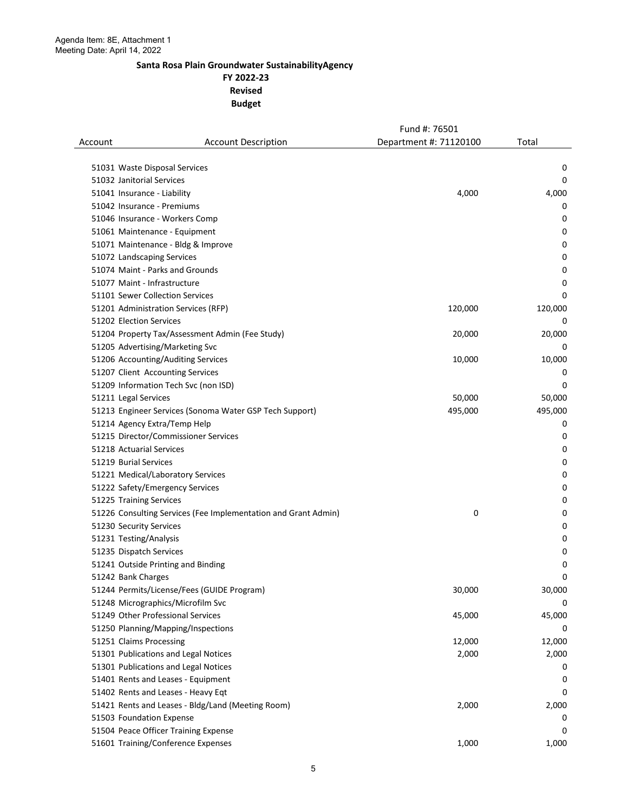**FY 2022-23 Revised** 

|         |                                                                | Fund #: 76501          |         |
|---------|----------------------------------------------------------------|------------------------|---------|
| Account | <b>Account Description</b>                                     | Department #: 71120100 | Total   |
|         |                                                                |                        |         |
|         | 51031 Waste Disposal Services                                  |                        | 0       |
|         | 51032 Janitorial Services                                      |                        | 0       |
|         | 51041 Insurance - Liability                                    | 4,000                  | 4,000   |
|         | 51042 Insurance - Premiums                                     |                        | 0       |
|         | 51046 Insurance - Workers Comp                                 |                        | 0       |
|         | 51061 Maintenance - Equipment                                  |                        | 0       |
|         | 51071 Maintenance - Bldg & Improve                             |                        | 0       |
|         | 51072 Landscaping Services                                     |                        | 0       |
|         | 51074 Maint - Parks and Grounds                                |                        | 0       |
|         | 51077 Maint - Infrastructure                                   |                        | 0       |
|         | 51101 Sewer Collection Services                                |                        | 0       |
|         | 51201 Administration Services (RFP)                            | 120,000                | 120,000 |
|         | 51202 Election Services                                        |                        | 0       |
|         | 51204 Property Tax/Assessment Admin (Fee Study)                | 20,000                 | 20,000  |
|         | 51205 Advertising/Marketing Svc                                |                        | 0       |
|         | 51206 Accounting/Auditing Services                             | 10,000                 | 10,000  |
|         | 51207 Client Accounting Services                               |                        | 0       |
|         | 51209 Information Tech Svc (non ISD)                           |                        | 0       |
|         | 51211 Legal Services                                           | 50,000                 | 50,000  |
|         | 51213 Engineer Services (Sonoma Water GSP Tech Support)        | 495,000                | 495,000 |
|         | 51214 Agency Extra/Temp Help                                   |                        | 0       |
|         | 51215 Director/Commissioner Services                           |                        | 0       |
|         | 51218 Actuarial Services                                       |                        | 0       |
|         | 51219 Burial Services                                          |                        | 0       |
|         | 51221 Medical/Laboratory Services                              |                        | 0       |
|         | 51222 Safety/Emergency Services                                |                        | 0       |
|         | 51225 Training Services                                        |                        | 0       |
|         | 51226 Consulting Services (Fee Implementation and Grant Admin) | 0                      | 0       |
|         | 51230 Security Services                                        |                        | 0       |
|         | 51231 Testing/Analysis                                         |                        | 0       |
|         | 51235 Dispatch Services                                        |                        | 0       |
|         | 51241 Outside Printing and Binding                             |                        | 0       |
|         | 51242 Bank Charges                                             |                        | 0       |
|         | 51244 Permits/License/Fees (GUIDE Program)                     | 30,000                 | 30,000  |
|         | 51248 Micrographics/Microfilm Svc                              |                        | 0       |
|         | 51249 Other Professional Services                              | 45,000                 | 45,000  |
|         | 51250 Planning/Mapping/Inspections                             |                        | 0       |
|         | 51251 Claims Processing                                        | 12,000                 | 12,000  |
|         | 51301 Publications and Legal Notices                           | 2,000                  | 2,000   |
|         | 51301 Publications and Legal Notices                           |                        | 0       |
|         | 51401 Rents and Leases - Equipment                             |                        | 0       |
|         | 51402 Rents and Leases - Heavy Eqt                             |                        | 0       |
|         | 51421 Rents and Leases - Bldg/Land (Meeting Room)              | 2,000                  | 2,000   |
|         | 51503 Foundation Expense                                       |                        | 0       |
|         | 51504 Peace Officer Training Expense                           |                        | 0       |
|         | 51601 Training/Conference Expenses                             | 1,000                  | 1,000   |
|         |                                                                |                        |         |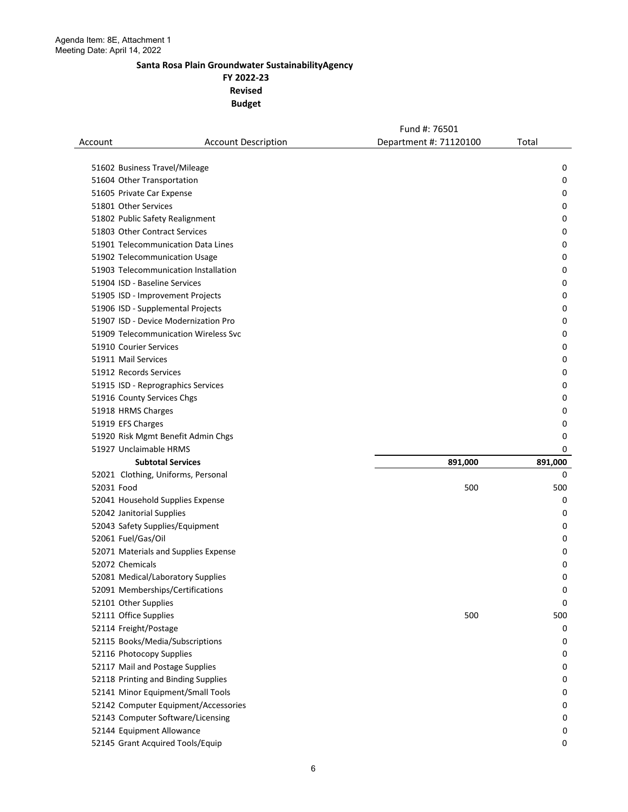**FY 2022-23 Revised** 

|                           |                                      | Fund #: 76501          |         |
|---------------------------|--------------------------------------|------------------------|---------|
| Account                   | <b>Account Description</b>           | Department #: 71120100 | Total   |
|                           |                                      |                        |         |
|                           | 51602 Business Travel/Mileage        |                        | 0       |
|                           | 51604 Other Transportation           |                        | 0       |
|                           | 51605 Private Car Expense            |                        | 0       |
| 51801 Other Services      |                                      |                        | 0       |
|                           | 51802 Public Safety Realignment      |                        | 0       |
|                           | 51803 Other Contract Services        |                        | 0       |
|                           | 51901 Telecommunication Data Lines   |                        | 0       |
|                           | 51902 Telecommunication Usage        |                        | 0       |
|                           | 51903 Telecommunication Installation |                        | 0       |
|                           | 51904 ISD - Baseline Services        |                        | 0       |
|                           | 51905 ISD - Improvement Projects     |                        | 0       |
|                           | 51906 ISD - Supplemental Projects    |                        | 0       |
|                           | 51907 ISD - Device Modernization Pro |                        | 0       |
|                           | 51909 Telecommunication Wireless Svc |                        | 0       |
| 51910 Courier Services    |                                      |                        | 0       |
| 51911 Mail Services       |                                      |                        | 0       |
| 51912 Records Services    |                                      |                        | 0       |
|                           | 51915 ISD - Reprographics Services   |                        | 0       |
|                           | 51916 County Services Chgs           |                        | 0       |
| 51918 HRMS Charges        |                                      |                        | 0       |
| 51919 EFS Charges         |                                      |                        | 0       |
|                           | 51920 Risk Mgmt Benefit Admin Chgs   |                        | 0       |
|                           | 51927 Unclaimable HRMS               |                        | 0       |
|                           | <b>Subtotal Services</b>             | 891,000                | 891,000 |
|                           | 52021 Clothing, Uniforms, Personal   |                        | 0       |
| 52031 Food                |                                      | 500                    | 500     |
|                           | 52041 Household Supplies Expense     |                        | 0       |
|                           |                                      |                        | 0       |
| 52042 Janitorial Supplies |                                      |                        |         |
|                           | 52043 Safety Supplies/Equipment      |                        | 0       |
| 52061 Fuel/Gas/Oil        |                                      |                        | 0       |
|                           | 52071 Materials and Supplies Expense |                        | 0       |
| 52072 Chemicals           |                                      |                        | 0       |
|                           | 52081 Medical/Laboratory Supplies    |                        | 0       |
|                           | 52091 Memberships/Certifications     |                        | 0       |
| 52101 Other Supplies      |                                      |                        | 0       |
| 52111 Office Supplies     |                                      | 500                    | 500     |
| 52114 Freight/Postage     |                                      |                        | 0       |
|                           | 52115 Books/Media/Subscriptions      |                        | 0       |
|                           | 52116 Photocopy Supplies             |                        | 0       |
|                           | 52117 Mail and Postage Supplies      |                        | 0       |
|                           | 52118 Printing and Binding Supplies  |                        | 0       |
|                           | 52141 Minor Equipment/Small Tools    |                        | 0       |
|                           | 52142 Computer Equipment/Accessories |                        | 0       |
|                           | 52143 Computer Software/Licensing    |                        | 0       |
|                           | 52144 Equipment Allowance            |                        | 0       |
|                           | 52145 Grant Acquired Tools/Equip     |                        | 0       |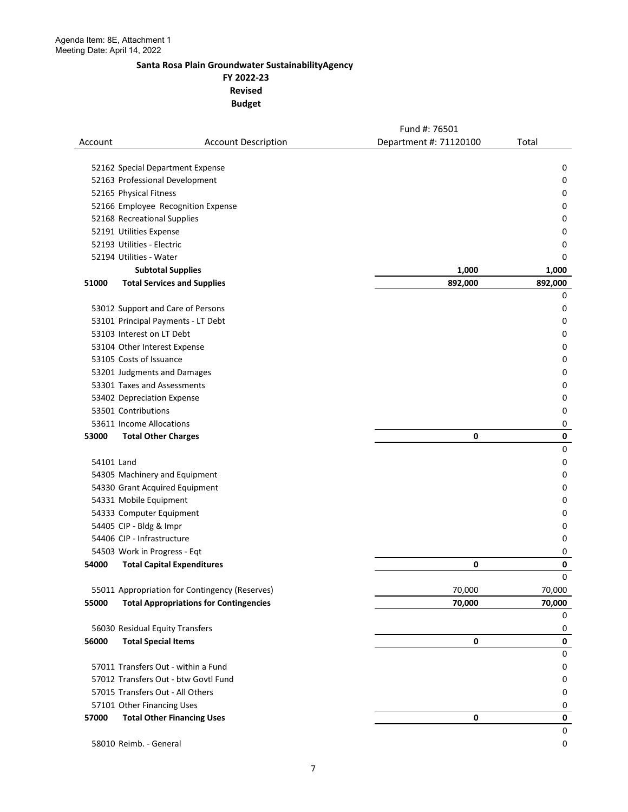**FY 2022-23 Revised** 

|            |                                                | Fund #: 76501          |              |
|------------|------------------------------------------------|------------------------|--------------|
| Account    | <b>Account Description</b>                     | Department #: 71120100 | Total        |
|            |                                                |                        |              |
|            | 52162 Special Department Expense               |                        | 0            |
|            | 52163 Professional Development                 |                        | 0            |
|            | 52165 Physical Fitness                         |                        | 0            |
|            | 52166 Employee Recognition Expense             |                        | 0            |
|            | 52168 Recreational Supplies                    |                        | 0            |
|            | 52191 Utilities Expense                        |                        | 0            |
|            | 52193 Utilities - Electric                     |                        | 0            |
|            | 52194 Utilities - Water                        |                        | 0            |
|            | <b>Subtotal Supplies</b>                       | 1,000                  | 1,000        |
| 51000      | <b>Total Services and Supplies</b>             | 892,000                | 892,000<br>0 |
|            | 53012 Support and Care of Persons              |                        | 0            |
|            | 53101 Principal Payments - LT Debt             |                        | 0            |
|            | 53103 Interest on LT Debt                      |                        | 0            |
|            | 53104 Other Interest Expense                   |                        | 0            |
|            | 53105 Costs of Issuance                        |                        | 0            |
|            | 53201 Judgments and Damages                    |                        | 0            |
|            | 53301 Taxes and Assessments                    |                        | 0            |
|            | 53402 Depreciation Expense                     |                        | 0            |
|            | 53501 Contributions                            |                        | 0            |
|            | 53611 Income Allocations                       |                        | 0            |
| 53000      | <b>Total Other Charges</b>                     | 0                      | $\pmb{0}$    |
|            |                                                |                        | $\mathbf 0$  |
| 54101 Land |                                                |                        | 0            |
|            | 54305 Machinery and Equipment                  |                        | 0            |
|            | 54330 Grant Acquired Equipment                 |                        | 0            |
|            | 54331 Mobile Equipment                         |                        | 0            |
|            | 54333 Computer Equipment                       |                        | 0            |
|            | 54405 CIP - Bldg & Impr                        |                        | 0            |
|            | 54406 CIP - Infrastructure                     |                        | 0            |
|            | 54503 Work in Progress - Eqt                   |                        | 0            |
| 54000      | <b>Total Capital Expenditures</b>              | 0                      | 0            |
|            |                                                |                        | $\Omega$     |
|            | 55011 Appropriation for Contingency (Reserves) | 70,000                 | 70,000       |
| 55000      | <b>Total Appropriations for Contingencies</b>  | 70,000                 | 70,000<br>0  |
|            | 56030 Residual Equity Transfers                |                        | 0            |
| 56000      | <b>Total Special Items</b>                     | $\mathbf 0$            | 0            |
|            |                                                |                        | $\pmb{0}$    |
|            | 57011 Transfers Out - within a Fund            |                        | 0            |
|            | 57012 Transfers Out - btw Govtl Fund           |                        | 0            |
|            | 57015 Transfers Out - All Others               |                        | 0            |
|            | 57101 Other Financing Uses                     |                        | 0            |
| 57000      | <b>Total Other Financing Uses</b>              | 0                      | $\pmb{0}$    |
|            |                                                |                        | 0            |
|            | 58010 Reimb. - General                         |                        | 0            |